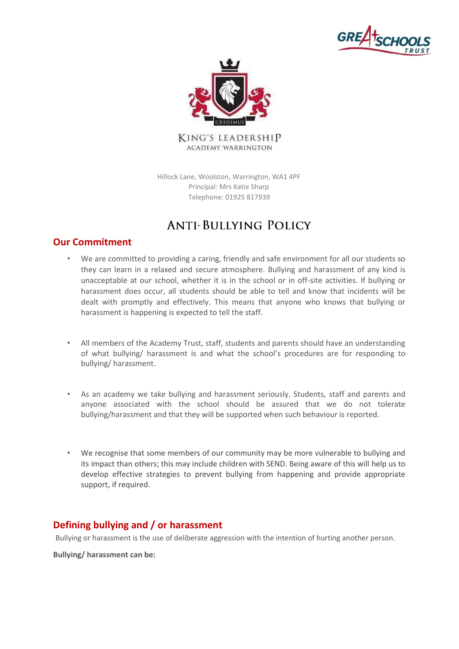



Hillock Lane, Woolston, Warrington, WA1 4PF Principal: Mrs Katie Sharp Telephone: 01925 817939

# **ANTI-BULLYING POLICY**

# **Our Commitment**

- We are committed to providing a caring, friendly and safe environment for all our students so they can learn in a relaxed and secure atmosphere. Bullying and harassment of any kind is unacceptable at our school, whether it is in the school or in off-site activities. If bullying or harassment does occur, all students should be able to tell and know that incidents will be dealt with promptly and effectively. This means that anyone who knows that bullying or harassment is happening is expected to tell the staff.
- All members of the Academy Trust, staff, students and parents should have an understanding of what bullying/ harassment is and what the school's procedures are for responding to bullying/ harassment.
- As an academy we take bullying and harassment seriously. Students, staff and parents and anyone associated with the school should be assured that we do not tolerate bullying/harassment and that they will be supported when such behaviour is reported.
- We recognise that some members of our community may be more vulnerable to bullying and its impact than others; this may include children with SEND. Being aware of this will help us to develop effective strategies to prevent bullying from happening and provide appropriate support, if required.

# **Defining bullying and / or harassment**

Bullying or harassment is the use of deliberate aggression with the intention of hurting another person.

**Bullying/ harassment can be:**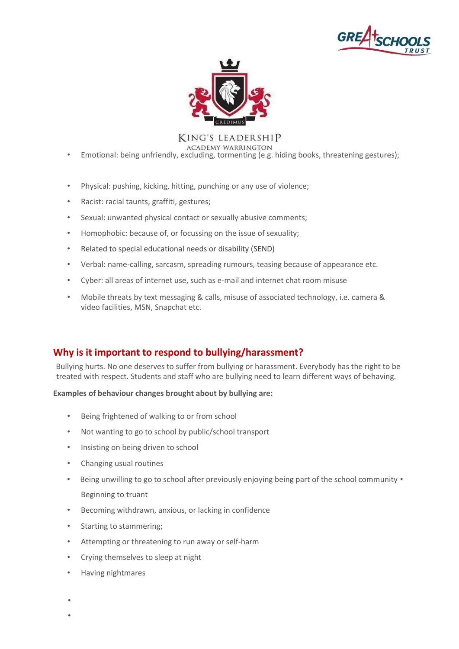



- Emotional: being unfriendly, excluding, tormenting (e.g. hiding books, threatening gestures);
- Physical: pushing, kicking, hitting, punching or any use of violence;
- Racist: racial taunts, graffiti, gestures;
- Sexual: unwanted physical contact or sexually abusive comments;
- Homophobic: because of, or focussing on the issue of sexuality;
- Related to special educational needs or disability (SEND)
- Verbal: name-calling, sarcasm, spreading rumours, teasing because of appearance etc.
- Cyber: all areas of internet use, such as e-mail and internet chat room misuse
- Mobile threats by text messaging & calls, misuse of associated technology, i.e. camera & video facilities, MSN, Snapchat etc.

# **Why is it important to respond to bullying/harassment?**

Bullying hurts. No one deserves to suffer from bullying or harassment. Everybody has the right to be treated with respect. Students and staff who are bullying need to learn different ways of behaving.

**Examples of behaviour changes brought about by bullying are:**

- Being frightened of walking to or from school
- Not wanting to go to school by public/school transport
- Insisting on being driven to school
- Changing usual routines
- Being unwilling to go to school after previously enjoying being part of the school community Beginning to truant
- Becoming withdrawn, anxious, or lacking in confidence
- Starting to stammering;
- Attempting or threatening to run away or self-harm
- Crying themselves to sleep at night
- Having nightmares

• •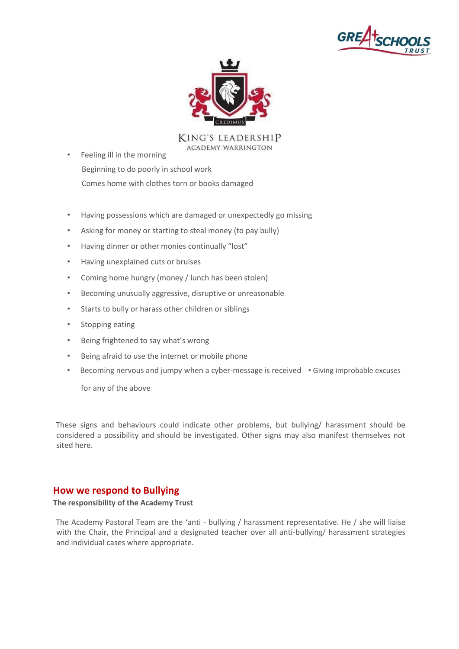



- Feeling ill in the morning Beginning to do poorly in school work Comes home with clothes torn or books damaged
- Having possessions which are damaged or unexpectedly go missing
- Asking for money or starting to steal money (to pay bully)
- Having dinner or other monies continually "lost"
- Having unexplained cuts or bruises
- Coming home hungry (money / lunch has been stolen)
- Becoming unusually aggressive, disruptive or unreasonable
- Starts to bully or harass other children or siblings
- Stopping eating
- Being frightened to say what's wrong
- Being afraid to use the internet or mobile phone
- Becoming nervous and jumpy when a cyber-message is received Giving improbable excuses

for any of the above

These signs and behaviours could indicate other problems, but bullying/ harassment should be considered a possibility and should be investigated. Other signs may also manifest themselves not sited here.

#### **How we respond to Bullying**

**The responsibility of the Academy Trust**

The Academy Pastoral Team are the 'anti - bullying / harassment representative. He / she will liaise with the Chair, the Principal and a designated teacher over all anti-bullying/ harassment strategies and individual cases where appropriate.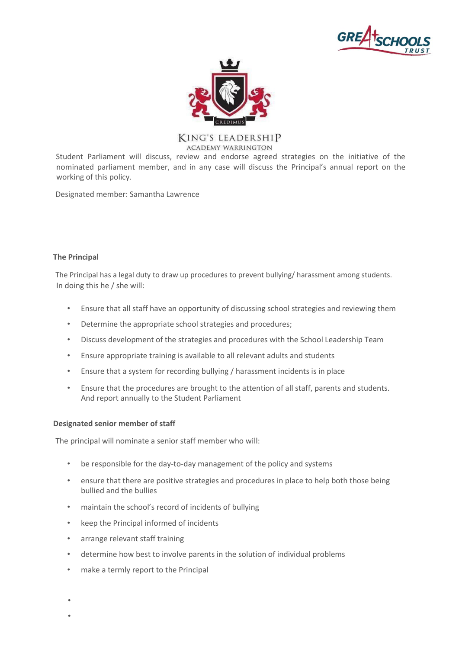



Student Parliament will discuss, review and endorse agreed strategies on the initiative of the nominated parliament member, and in any case will discuss the Principal's annual report on the working of this policy.

Designated member: Samantha Lawrence

#### **The Principal**

The Principal has a legal duty to draw up procedures to prevent bullying/ harassment among students. In doing this he / she will:

- Ensure that all staff have an opportunity of discussing school strategies and reviewing them
- Determine the appropriate school strategies and procedures;
- Discuss development of the strategies and procedures with the School Leadership Team
- Ensure appropriate training is available to all relevant adults and students
- Ensure that a system for recording bullying / harassment incidents is in place
- Ensure that the procedures are brought to the attention of all staff, parents and students. And report annually to the Student Parliament

#### **Designated senior member of staff**

The principal will nominate a senior staff member who will:

- be responsible for the day-to-day management of the policy and systems
- ensure that there are positive strategies and procedures in place to help both those being bullied and the bullies
- maintain the school's record of incidents of bullying
- keep the Principal informed of incidents
- arrange relevant staff training
- determine how best to involve parents in the solution of individual problems
- make a termly report to the Principal

• •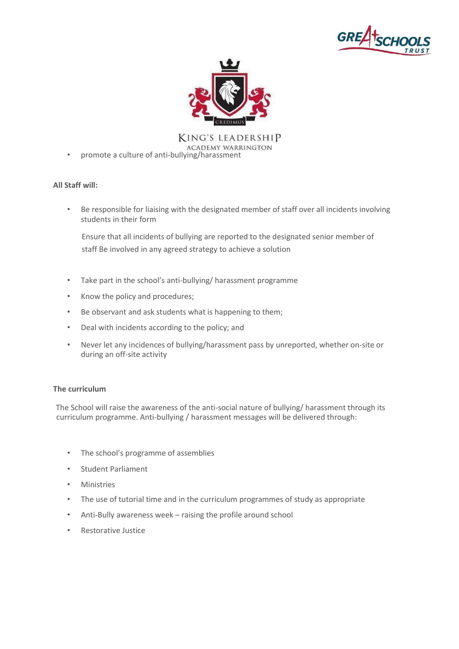



KING'S LEADERSHIP • promote a culture of anti-bullying/harassment

#### **All Staff will:**

• Be responsible for liaising with the designated member of staff over all incidents involving students in their form

Ensure that all incidents of bullying are reported to the designated senior member of staff Be involved in any agreed strategy to achieve a solution

- Take part in the school's anti-bullying/ harassment programme
- Know the policy and procedures;
- Be observant and ask students what is happening to them;
- Deal with incidents according to the policy; and
- Never let any incidences of bullying/harassment pass by unreported, whether on-site or during an off-site activity

#### **The curriculum**

The School will raise the awareness of the anti-social nature of bullying/ harassment through its curriculum programme. Anti-bullying / harassment messages will be delivered through:

- The school's programme of assemblies
- Student Parliament
- Ministries
- The use of tutorial time and in the curriculum programmes of study as appropriate
- Anti-Bully awareness week raising the profile around school
- Restorative Justice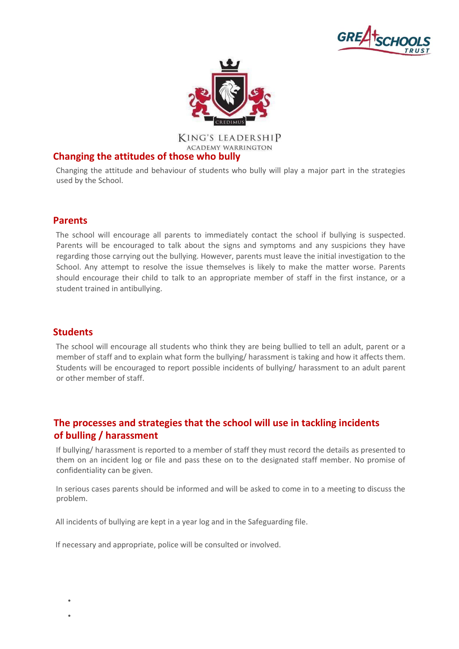



# **Changing the attitudes of those who bully**

Changing the attitude and behaviour of students who bully will play a major part in the strategies used by the School.

# **Parents**

The school will encourage all parents to immediately contact the school if bullying is suspected. Parents will be encouraged to talk about the signs and symptoms and any suspicions they have regarding those carrying out the bullying. However, parents must leave the initial investigation to the School. Any attempt to resolve the issue themselves is likely to make the matter worse. Parents should encourage their child to talk to an appropriate member of staff in the first instance, or a student trained in antibullying.

# **Students**

• •

The school will encourage all students who think they are being bullied to tell an adult, parent or a member of staff and to explain what form the bullying/ harassment is taking and how it affects them. Students will be encouraged to report possible incidents of bullying/ harassment to an adult parent or other member of staff.

# **The processes and strategies that the school will use in tackling incidents of bulling / harassment**

If bullying/ harassment is reported to a member of staff they must record the details as presented to them on an incident log or file and pass these on to the designated staff member. No promise of confidentiality can be given.

In serious cases parents should be informed and will be asked to come in to a meeting to discuss the problem.

All incidents of bullying are kept in a year log and in the Safeguarding file.

If necessary and appropriate, police will be consulted or involved.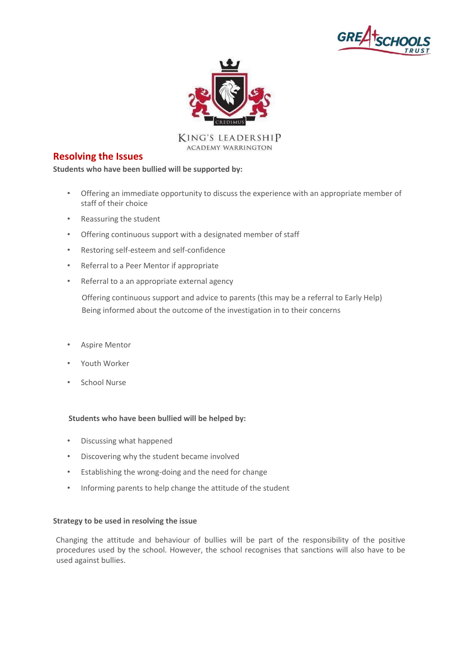



#### **Resolving the Issues**

**Students who have been bullied will be supported by:**

- Offering an immediate opportunity to discuss the experience with an appropriate member of staff of their choice
- Reassuring the student
- Offering continuous support with a designated member of staff
- Restoring self-esteem and self-confidence
- Referral to a Peer Mentor if appropriate
- Referral to a an appropriate external agency

Offering continuous support and advice to parents (this may be a referral to Early Help) Being informed about the outcome of the investigation in to their concerns

- Aspire Mentor
- Youth Worker
- School Nurse

#### **Students who have been bullied will be helped by:**

- Discussing what happened
- Discovering why the student became involved
- Establishing the wrong-doing and the need for change
- Informing parents to help change the attitude of the student

#### **Strategy to be used in resolving the issue**

Changing the attitude and behaviour of bullies will be part of the responsibility of the positive procedures used by the school. However, the school recognises that sanctions will also have to be used against bullies.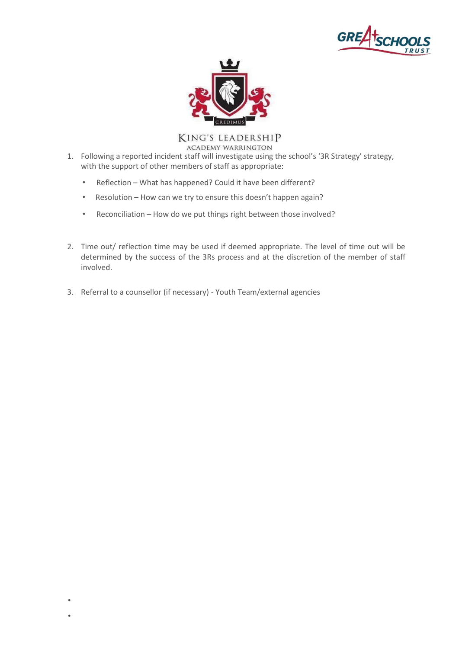



**KING'S LEADERSHIP** 

**ACADEMY WARRINGTON** 

- 1. Following a reported incident staff will investigate using the school's '3R Strategy' strategy, with the support of other members of staff as appropriate:
	- Reflection What has happened? Could it have been different?
	- Resolution How can we try to ensure this doesn't happen again?
	- Reconciliation How do we put things right between those involved?
- 2. Time out/ reflection time may be used if deemed appropriate. The level of time out will be determined by the success of the 3Rs process and at the discretion of the member of staff involved.
- 3. Referral to a counsellor (if necessary) Youth Team/external agencies

• •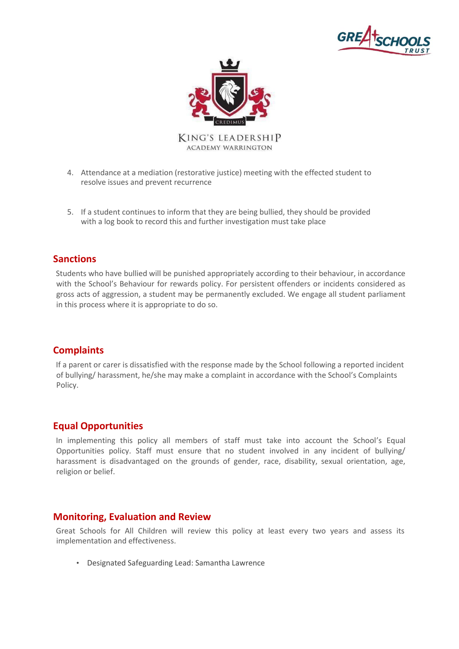



- 4. Attendance at a mediation (restorative justice) meeting with the effected student to resolve issues and prevent recurrence
- 5. If a student continues to inform that they are being bullied, they should be provided with a log book to record this and further investigation must take place

# **Sanctions**

Students who have bullied will be punished appropriately according to their behaviour, in accordance with the School's Behaviour for rewards policy. For persistent offenders or incidents considered as gross acts of aggression, a student may be permanently excluded. We engage all student parliament in this process where it is appropriate to do so.

# **Complaints**

If a parent or carer is dissatisfied with the response made by the School following a reported incident of bullying/ harassment, he/she may make a complaint in accordance with the School's Complaints Policy.

# **Equal Opportunities**

In implementing this policy all members of staff must take into account the School's Equal Opportunities policy. Staff must ensure that no student involved in any incident of bullying/ harassment is disadvantaged on the grounds of gender, race, disability, sexual orientation, age, religion or belief.

#### **Monitoring, Evaluation and Review**

Great Schools for All Children will review this policy at least every two years and assess its implementation and effectiveness.

• Designated Safeguarding Lead: Samantha Lawrence